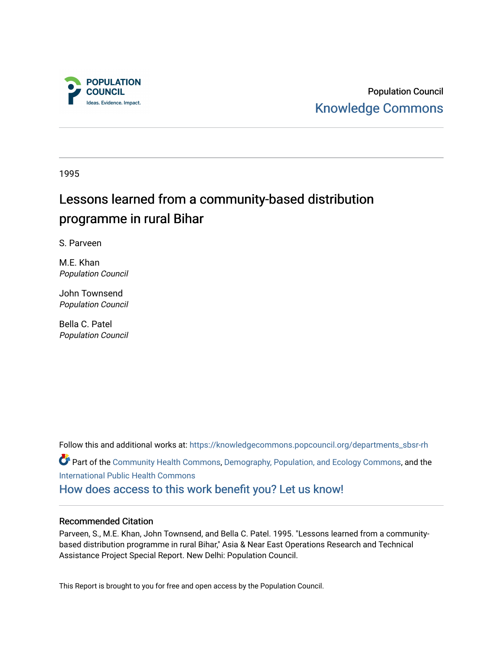

Population Council [Knowledge Commons](https://knowledgecommons.popcouncil.org/) 

1995

# Lessons learned from a community-based distribution programme in rural Bihar

S. Parveen

M.E. Khan Population Council

John Townsend Population Council

Bella C. Patel Population Council

Follow this and additional works at: [https://knowledgecommons.popcouncil.org/departments\\_sbsr-rh](https://knowledgecommons.popcouncil.org/departments_sbsr-rh?utm_source=knowledgecommons.popcouncil.org%2Fdepartments_sbsr-rh%2F2084&utm_medium=PDF&utm_campaign=PDFCoverPages)  Part of the [Community Health Commons,](https://network.bepress.com/hgg/discipline/714?utm_source=knowledgecommons.popcouncil.org%2Fdepartments_sbsr-rh%2F2084&utm_medium=PDF&utm_campaign=PDFCoverPages) [Demography, Population, and Ecology Commons](https://network.bepress.com/hgg/discipline/418?utm_source=knowledgecommons.popcouncil.org%2Fdepartments_sbsr-rh%2F2084&utm_medium=PDF&utm_campaign=PDFCoverPages), and the [International Public Health Commons](https://network.bepress.com/hgg/discipline/746?utm_source=knowledgecommons.popcouncil.org%2Fdepartments_sbsr-rh%2F2084&utm_medium=PDF&utm_campaign=PDFCoverPages)  [How does access to this work benefit you? Let us know!](https://pcouncil.wufoo.com/forms/open-access-to-population-council-research/)

## Recommended Citation

Parveen, S., M.E. Khan, John Townsend, and Bella C. Patel. 1995. "Lessons learned from a communitybased distribution programme in rural Bihar," Asia & Near East Operations Research and Technical Assistance Project Special Report. New Delhi: Population Council.

This Report is brought to you for free and open access by the Population Council.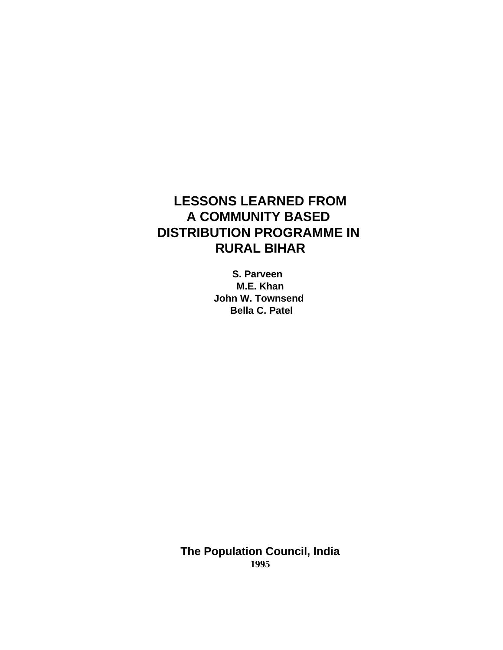## **LESSONS LEARNED FROM A COMMUNITY BASED DISTRIBUTION PROGRAMME IN RURAL BIHAR**

**S. Parveen M.E. Khan John W. Townsend Bella C. Patel**

**The Population Council, India 1995**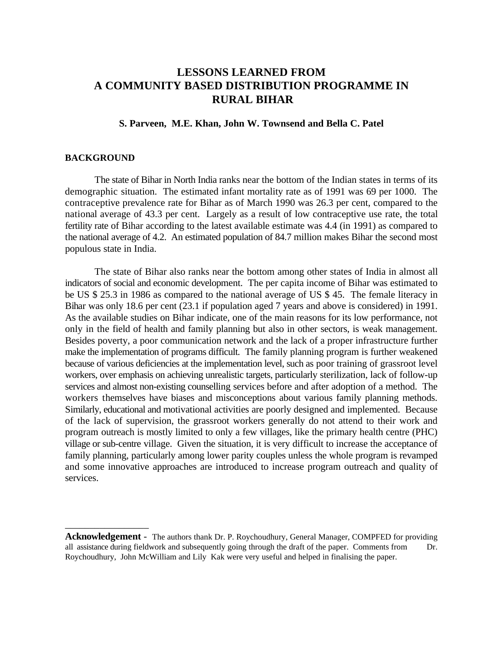## **LESSONS LEARNED FROM A COMMUNITY BASED DISTRIBUTION PROGRAMME IN RURAL BIHAR**

## **S. Parveen, M.E. Khan, John W. Townsend and Bella C. Patel**

## **BACKGROUND**

\_\_\_\_\_\_\_\_\_\_\_\_\_\_\_\_\_

The state of Bihar in North India ranks near the bottom of the Indian states in terms of its demographic situation. The estimated infant mortality rate as of 1991 was 69 per 1000. The contraceptive prevalence rate for Bihar as of March 1990 was 26.3 per cent, compared to the national average of 43.3 per cent. Largely as a result of low contraceptive use rate, the total fertility rate of Bihar according to the latest available estimate was 4.4 (in 1991) as compared to the national average of 4.2. An estimated population of 84.7 million makes Bihar the second most populous state in India.

The state of Bihar also ranks near the bottom among other states of India in almost all indicators of social and economic development. The per capita income of Bihar was estimated to be US \$ 25.3 in 1986 as compared to the national average of US \$ 45. The female literacy in Bihar was only 18.6 per cent (23.1 if population aged 7 years and above is considered) in 1991. As the available studies on Bihar indicate, one of the main reasons for its low performance, not only in the field of health and family planning but also in other sectors, is weak management. Besides poverty, a poor communication network and the lack of a proper infrastructure further make the implementation of programs difficult. The family planning program is further weakened because of various deficiencies at the implementation level, such as poor training of grassroot level workers, over emphasis on achieving unrealistic targets, particularly sterilization, lack of follow-up services and almost non-existing counselling services before and after adoption of a method. The workers themselves have biases and misconceptions about various family planning methods. Similarly, educational and motivational activities are poorly designed and implemented. Because of the lack of supervision, the grassroot workers generally do not attend to their work and program outreach is mostly limited to only a few villages, like the primary health centre (PHC) village or sub-centre village. Given the situation, it is very difficult to increase the acceptance of family planning, particularly among lower parity couples unless the whole program is revamped and some innovative approaches are introduced to increase program outreach and quality of services.

**Acknowledgement** - The authors thank Dr. P. Roychoudhury, General Manager, COMPFED for providing all assistance during fieldwork and subsequently going through the draft of the paper. Comments from Dr. Roychoudhury, John McWilliam and Lily Kak were very useful and helped in finalising the paper.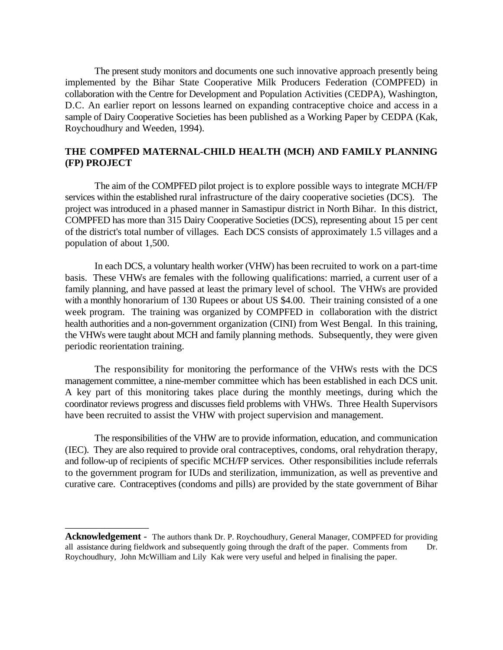The present study monitors and documents one such innovative approach presently being implemented by the Bihar State Cooperative Milk Producers Federation (COMPFED) in collaboration with the Centre for Development and Population Activities (CEDPA), Washington, D.C. An earlier report on lessons learned on expanding contraceptive choice and access in a sample of Dairy Cooperative Societies has been published as a Working Paper by CEDPA (Kak, Roychoudhury and Weeden, 1994).

## **THE COMPFED MATERNAL-CHILD HEALTH (MCH) AND FAMILY PLANNING (FP) PROJECT**

The aim of the COMPFED pilot project is to explore possible ways to integrate MCH/FP services within the established rural infrastructure of the dairy cooperative societies (DCS). The project was introduced in a phased manner in Samastipur district in North Bihar. In this district, COMPFED has more than 315 Dairy Cooperative Societies (DCS), representing about 15 per cent of the district's total number of villages. Each DCS consists of approximately 1.5 villages and a population of about 1,500.

In each DCS, a voluntary health worker (VHW) has been recruited to work on a part-time basis. These VHWs are females with the following qualifications: married, a current user of a family planning, and have passed at least the primary level of school. The VHWs are provided with a monthly honorarium of 130 Rupees or about US \$4.00. Their training consisted of a one week program. The training was organized by COMPFED in collaboration with the district health authorities and a non-government organization (CINI) from West Bengal. In this training, the VHWs were taught about MCH and family planning methods. Subsequently, they were given periodic reorientation training.

The responsibility for monitoring the performance of the VHWs rests with the DCS management committee, a nine-member committee which has been established in each DCS unit. A key part of this monitoring takes place during the monthly meetings, during which the coordinator reviews progress and discusses field problems with VHWs. Three Health Supervisors have been recruited to assist the VHW with project supervision and management.

The responsibilities of the VHW are to provide information, education, and communication (IEC). They are also required to provide oral contraceptives, condoms, oral rehydration therapy, and follow-up of recipients of specific MCH/FP services. Other responsibilities include referrals to the government program for IUDs and sterilization, immunization, as well as preventive and curative care. Contraceptives (condoms and pills) are provided by the state government of Bihar

\_\_\_\_\_\_\_\_\_\_\_\_\_\_\_\_\_

**Acknowledgement** - The authors thank Dr. P. Roychoudhury, General Manager, COMPFED for providing all assistance during fieldwork and subsequently going through the draft of the paper. Comments from Dr. Roychoudhury, John McWilliam and Lily Kak were very useful and helped in finalising the paper.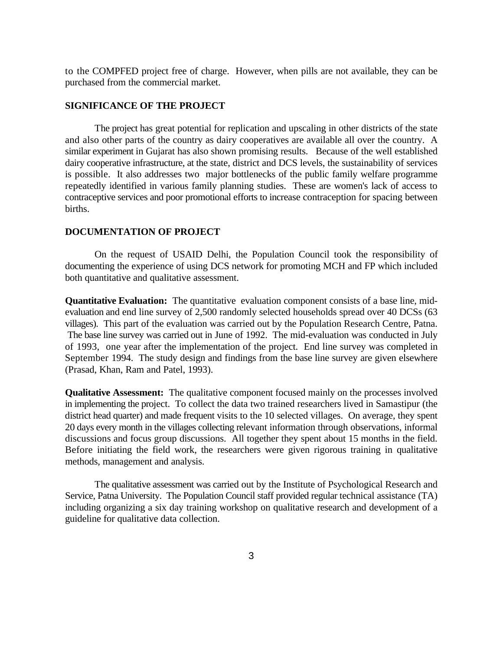to the COMPFED project free of charge. However, when pills are not available, they can be purchased from the commercial market.

## **SIGNIFICANCE OF THE PROJECT**

The project has great potential for replication and upscaling in other districts of the state and also other parts of the country as dairy cooperatives are available all over the country. A similar experiment in Gujarat has also shown promising results. Because of the well established dairy cooperative infrastructure, at the state, district and DCS levels, the sustainability of services is possible. It also addresses two major bottlenecks of the public family welfare programme repeatedly identified in various family planning studies. These are women's lack of access to contraceptive services and poor promotional efforts to increase contraception for spacing between births.

#### **DOCUMENTATION OF PROJECT**

On the request of USAID Delhi, the Population Council took the responsibility of documenting the experience of using DCS network for promoting MCH and FP which included both quantitative and qualitative assessment.

**Quantitative Evaluation:** The quantitative evaluation component consists of a base line, midevaluation and end line survey of 2,500 randomly selected households spread over 40 DCSs (63 villages). This part of the evaluation was carried out by the Population Research Centre, Patna. The base line survey was carried out in June of 1992. The mid-evaluation was conducted in July of 1993, one year after the implementation of the project. End line survey was completed in September 1994. The study design and findings from the base line survey are given elsewhere (Prasad, Khan, Ram and Patel, 1993).

**Qualitative Assessment:** The qualitative component focused mainly on the processes involved in implementing the project. To collect the data two trained researchers lived in Samastipur (the district head quarter) and made frequent visits to the 10 selected villages. On average, they spent 20 days every month in the villages collecting relevant information through observations, informal discussions and focus group discussions. All together they spent about 15 months in the field. Before initiating the field work, the researchers were given rigorous training in qualitative methods, management and analysis.

The qualitative assessment was carried out by the Institute of Psychological Research and Service, Patna University. The Population Council staff provided regular technical assistance (TA) including organizing a six day training workshop on qualitative research and development of a guideline for qualitative data collection.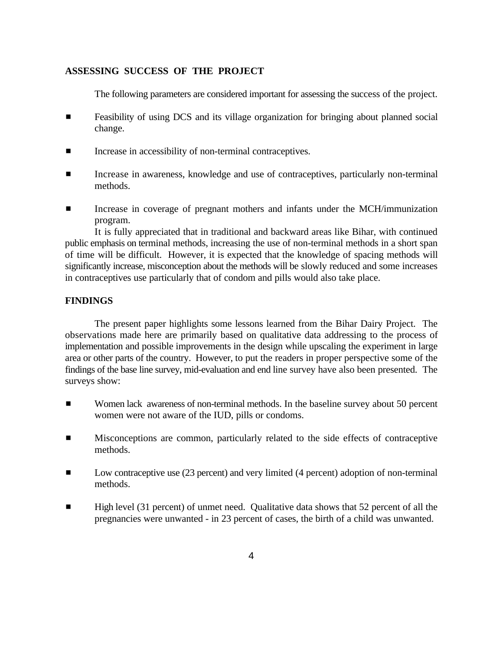## **ASSESSING SUCCESS OF THE PROJECT**

The following parameters are considered important for assessing the success of the project.

- **Example 1** Feasibility of using DCS and its village organization for bringing about planned social change.
- $\blacksquare$  Increase in accessibility of non-terminal contraceptives.
- **EXECUTE:** Increase in awareness, knowledge and use of contraceptives, particularly non-terminal methods.
- **Example 1** Increase in coverage of pregnant mothers and infants under the MCH/immunization program.

It is fully appreciated that in traditional and backward areas like Bihar, with continued public emphasis on terminal methods, increasing the use of non-terminal methods in a short span of time will be difficult. However, it is expected that the knowledge of spacing methods will significantly increase, misconception about the methods will be slowly reduced and some increases in contraceptives use particularly that of condom and pills would also take place.

## **FINDINGS**

The present paper highlights some lessons learned from the Bihar Dairy Project. The observations made here are primarily based on qualitative data addressing to the process of implementation and possible improvements in the design while upscaling the experiment in large area or other parts of the country. However, to put the readers in proper perspective some of the findings of the base line survey, mid-evaluation and end line survey have also been presented. The surveys show:

- **EXECUTE:** Women lack awareness of non-terminal methods. In the baseline survey about 50 percent women were not aware of the IUD, pills or condoms.
- **EXECUTE:** Misconceptions are common, particularly related to the side effects of contraceptive methods.
- **EXECUTE:** Low contraceptive use (23 percent) and very limited (4 percent) adoption of non-terminal methods.
- **EXECUTE:** High level (31 percent) of unmet need. Qualitative data shows that 52 percent of all the pregnancies were unwanted - in 23 percent of cases, the birth of a child was unwanted.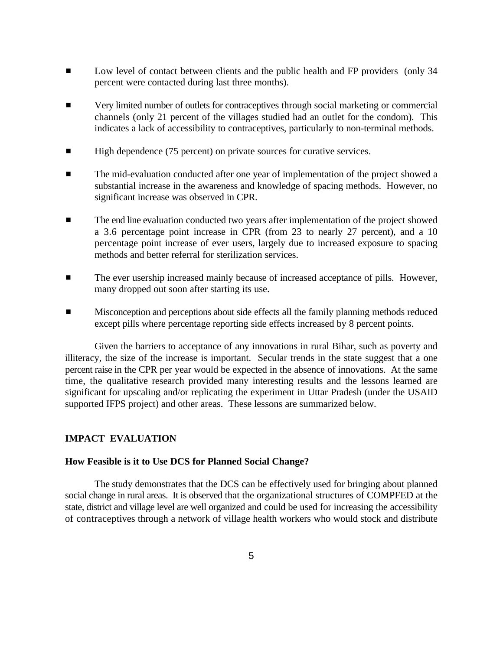- **EXECUTE:** Low level of contact between clients and the public health and FP providers (only 34 percent were contacted during last three months).
- **EXECUTE:** Very limited number of outlets for contraceptives through social marketing or commercial channels (only 21 percent of the villages studied had an outlet for the condom). This indicates a lack of accessibility to contraceptives, particularly to non-terminal methods.
- $\blacksquare$  High dependence (75 percent) on private sources for curative services.
- **EXECUTE:** The mid-evaluation conducted after one year of implementation of the project showed a substantial increase in the awareness and knowledge of spacing methods. However, no significant increase was observed in CPR.
- **The end line evaluation conducted two years after implementation of the project showed** a 3.6 percentage point increase in CPR (from 23 to nearly 27 percent), and a 10 percentage point increase of ever users, largely due to increased exposure to spacing methods and better referral for sterilization services.
- $\blacksquare$  The ever usership increased mainly because of increased acceptance of pills. However, many dropped out soon after starting its use.
- **EXECUTE:** Misconception and perceptions about side effects all the family planning methods reduced except pills where percentage reporting side effects increased by 8 percent points.

Given the barriers to acceptance of any innovations in rural Bihar, such as poverty and illiteracy, the size of the increase is important. Secular trends in the state suggest that a one percent raise in the CPR per year would be expected in the absence of innovations. At the same time, the qualitative research provided many interesting results and the lessons learned are significant for upscaling and/or replicating the experiment in Uttar Pradesh (under the USAID supported IFPS project) and other areas. These lessons are summarized below.

## **IMPACT EVALUATION**

## **How Feasible is it to Use DCS for Planned Social Change?**

The study demonstrates that the DCS can be effectively used for bringing about planned social change in rural areas. It is observed that the organizational structures of COMPFED at the state, district and village level are well organized and could be used for increasing the accessibility of contraceptives through a network of village health workers who would stock and distribute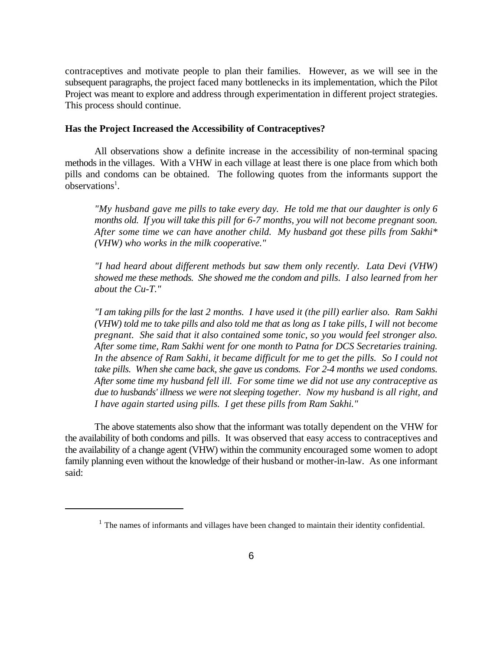contraceptives and motivate people to plan their families. However, as we will see in the subsequent paragraphs, the project faced many bottlenecks in its implementation, which the Pilot Project was meant to explore and address through experimentation in different project strategies. This process should continue.

## **Has the Project Increased the Accessibility of Contraceptives?**

All observations show a definite increase in the accessibility of non-terminal spacing methods in the villages. With a VHW in each village at least there is one place from which both pills and condoms can be obtained. The following quotes from the informants support the  $observation<sup>1</sup>$ .

*"My husband gave me pills to take every day. He told me that our daughter is only 6 months old. If you will take this pill for 6-7 months, you will not become pregnant soon. After some time we can have another child. My husband got these pills from Sakhi\* (VHW) who works in the milk cooperative."*

*"I had heard about different methods but saw them only recently. Lata Devi (VHW) showed me these methods. She showed me the condom and pills. I also learned from her about the Cu-T."*

*"I am taking pills for the last 2 months. I have used it (the pill) earlier also. Ram Sakhi (VHW) told me to take pills and also told me that as long as I take pills, I will not become pregnant. She said that it also contained some tonic, so you would feel stronger also. After some time, Ram Sakhi went for one month to Patna for DCS Secretaries training. In the absence of Ram Sakhi, it became difficult for me to get the pills. So I could not take pills. When she came back, she gave us condoms. For 2-4 months we used condoms. After some time my husband fell ill. For some time we did not use any contraceptive as due to husbands' illness we were not sleeping together. Now my husband is all right, and I have again started using pills. I get these pills from Ram Sakhi."*

The above statements also show that the informant was totally dependent on the VHW for the availability of both condoms and pills. It was observed that easy access to contraceptives and the availability of a change agent (VHW) within the community encouraged some women to adopt family planning even without the knowledge of their husband or mother-in-law. As one informant said:

 $<sup>1</sup>$  The names of informants and villages have been changed to maintain their identity confidential.</sup>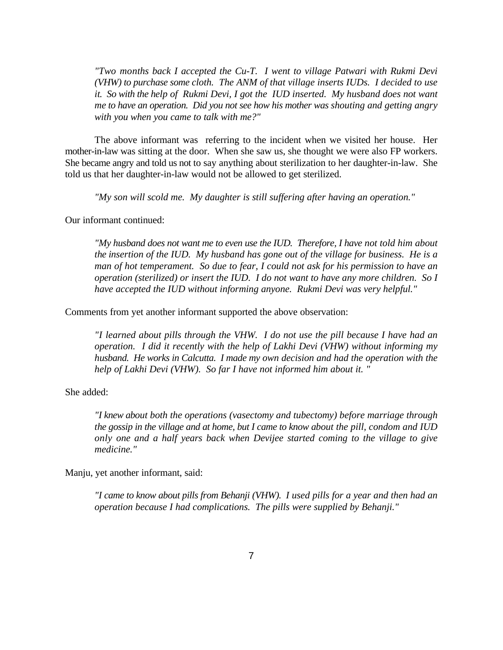*"Two months back I accepted the Cu-T. I went to village Patwari with Rukmi Devi (VHW) to purchase some cloth. The ANM of that village inserts IUDs. I decided to use it. So with the help of Rukmi Devi, I got the IUD inserted. My husband does not want me to have an operation. Did you not see how his mother was shouting and getting angry with you when you came to talk with me?"*

The above informant was referring to the incident when we visited her house. Her mother-in-law was sitting at the door. When she saw us, she thought we were also FP workers. She became angry and told us not to say anything about sterilization to her daughter-in-law. She told us that her daughter-in-law would not be allowed to get sterilized.

*"My son will scold me. My daughter is still suffering after having an operation."* 

Our informant continued:

*"My husband does not want me to even use the IUD. Therefore, I have not told him about the insertion of the IUD. My husband has gone out of the village for business. He is a man of hot temperament. So due to fear, I could not ask for his permission to have an operation (sterilized) or insert the IUD. I do not want to have any more children. So I have accepted the IUD without informing anyone. Rukmi Devi was very helpful."*

Comments from yet another informant supported the above observation:

*"I learned about pills through the VHW. I do not use the pill because I have had an operation. I did it recently with the help of Lakhi Devi (VHW) without informing my husband. He works in Calcutta. I made my own decision and had the operation with the help of Lakhi Devi (VHW). So far I have not informed him about it. "*

She added:

*"I knew about both the operations (vasectomy and tubectomy) before marriage through the gossip in the village and at home, but I came to know about the pill, condom and IUD only one and a half years back when Devijee started coming to the village to give medicine."*

Manju, yet another informant, said:

*"I came to know about pills from Behanji (VHW). I used pills for a year and then had an operation because I had complications. The pills were supplied by Behanji."*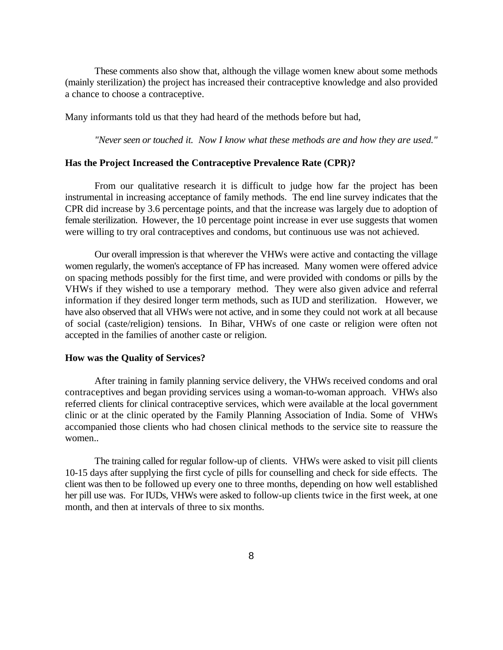These comments also show that, although the village women knew about some methods (mainly sterilization) the project has increased their contraceptive knowledge and also provided a chance to choose a contraceptive.

Many informants told us that they had heard of the methods before but had,

*"Never seen or touched it. Now I know what these methods are and how they are used."*

#### **Has the Project Increased the Contraceptive Prevalence Rate (CPR)?**

From our qualitative research it is difficult to judge how far the project has been instrumental in increasing acceptance of family methods. The end line survey indicates that the CPR did increase by 3.6 percentage points, and that the increase was largely due to adoption of female sterilization. However, the 10 percentage point increase in ever use suggests that women were willing to try oral contraceptives and condoms, but continuous use was not achieved.

Our overall impression is that wherever the VHWs were active and contacting the village women regularly, the women's acceptance of FP has increased. Many women were offered advice on spacing methods possibly for the first time, and were provided with condoms or pills by the VHWs if they wished to use a temporary method. They were also given advice and referral information if they desired longer term methods, such as IUD and sterilization. However, we have also observed that all VHWs were not active, and in some they could not work at all because of social (caste/religion) tensions. In Bihar, VHWs of one caste or religion were often not accepted in the families of another caste or religion.

#### **How was the Quality of Services?**

After training in family planning service delivery, the VHWs received condoms and oral contraceptives and began providing services using a woman-to-woman approach. VHWs also referred clients for clinical contraceptive services, which were available at the local government clinic or at the clinic operated by the Family Planning Association of India. Some of VHWs accompanied those clients who had chosen clinical methods to the service site to reassure the women..

The training called for regular follow-up of clients. VHWs were asked to visit pill clients 10-15 days after supplying the first cycle of pills for counselling and check for side effects. The client was then to be followed up every one to three months, depending on how well established her pill use was. For IUDs, VHWs were asked to follow-up clients twice in the first week, at one month, and then at intervals of three to six months.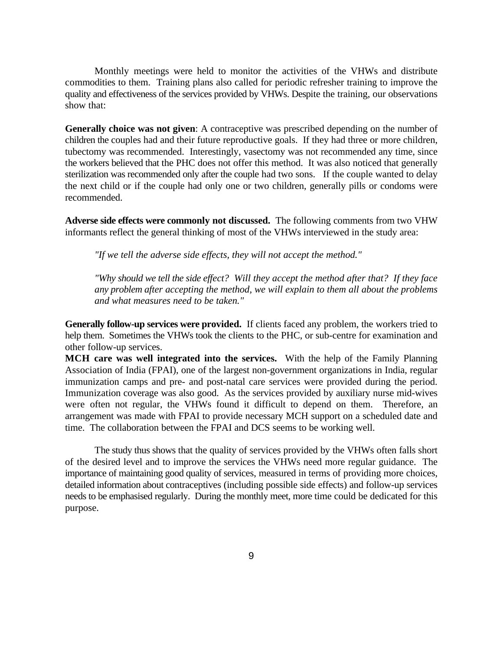Monthly meetings were held to monitor the activities of the VHWs and distribute commodities to them. Training plans also called for periodic refresher training to improve the quality and effectiveness of the services provided by VHWs. Despite the training, our observations show that:

**Generally choice was not given**: A contraceptive was prescribed depending on the number of children the couples had and their future reproductive goals. If they had three or more children, tubectomy was recommended. Interestingly, vasectomy was not recommended any time, since the workers believed that the PHC does not offer this method. It was also noticed that generally sterilization was recommended only after the couple had two sons. If the couple wanted to delay the next child or if the couple had only one or two children, generally pills or condoms were recommended.

**Adverse side effects were commonly not discussed.** The following comments from two VHW informants reflect the general thinking of most of the VHWs interviewed in the study area:

*"If we tell the adverse side effects, they will not accept the method."*

*"Why should we tell the side effect? Will they accept the method after that? If they face any problem after accepting the method, we will explain to them all about the problems and what measures need to be taken."*

**Generally follow-up services were provided.** If clients faced any problem, the workers tried to help them. Sometimes the VHWs took the clients to the PHC, or sub-centre for examination and other follow-up services.

**MCH care was well integrated into the services.** With the help of the Family Planning Association of India (FPAI), one of the largest non-government organizations in India, regular immunization camps and pre- and post-natal care services were provided during the period. Immunization coverage was also good. As the services provided by auxiliary nurse mid-wives were often not regular, the VHWs found it difficult to depend on them. Therefore, an arrangement was made with FPAI to provide necessary MCH support on a scheduled date and time. The collaboration between the FPAI and DCS seems to be working well.

The study thus shows that the quality of services provided by the VHWs often falls short of the desired level and to improve the services the VHWs need more regular guidance. The importance of maintaining good quality of services, measured in terms of providing more choices, detailed information about contraceptives (including possible side effects) and follow-up services needs to be emphasised regularly. During the monthly meet, more time could be dedicated for this purpose.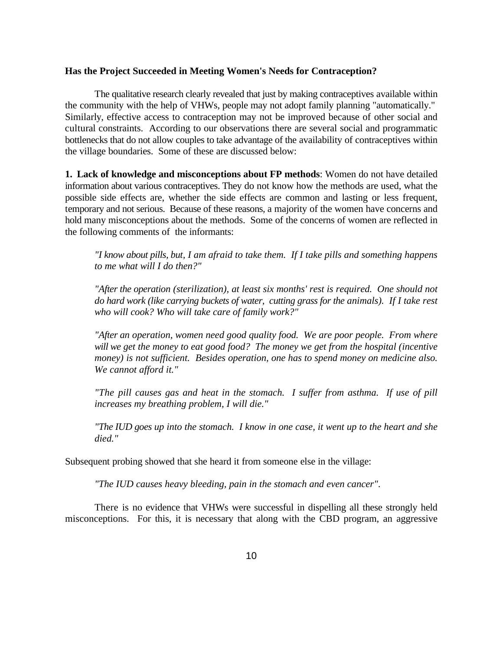#### **Has the Project Succeeded in Meeting Women's Needs for Contraception?**

The qualitative research clearly revealed that just by making contraceptives available within the community with the help of VHWs, people may not adopt family planning "automatically." Similarly, effective access to contraception may not be improved because of other social and cultural constraints. According to our observations there are several social and programmatic bottlenecks that do not allow couples to take advantage of the availability of contraceptives within the village boundaries. Some of these are discussed below:

**1. Lack of knowledge and misconceptions about FP methods**: Women do not have detailed information about various contraceptives. They do not know how the methods are used, what the possible side effects are, whether the side effects are common and lasting or less frequent, temporary and not serious. Because of these reasons, a majority of the women have concerns and hold many misconceptions about the methods. Some of the concerns of women are reflected in the following comments of the informants:

*"I know about pills, but, I am afraid to take them. If I take pills and something happens to me what will I do then?"*

*"After the operation (sterilization), at least six months' rest is required. One should not do hard work (like carrying buckets of water, cutting grass for the animals). If I take rest who will cook? Who will take care of family work?"*

*"After an operation, women need good quality food. We are poor people. From where will we get the money to eat good food? The money we get from the hospital (incentive money) is not sufficient. Besides operation, one has to spend money on medicine also. We cannot afford it."*

*"The pill causes gas and heat in the stomach. I suffer from asthma. If use of pill increases my breathing problem, I will die."*

*"The IUD goes up into the stomach. I know in one case, it went up to the heart and she died."*

Subsequent probing showed that she heard it from someone else in the village:

*"The IUD causes heavy bleeding, pain in the stomach and even cancer"*.

There is no evidence that VHWs were successful in dispelling all these strongly held misconceptions. For this, it is necessary that along with the CBD program, an aggressive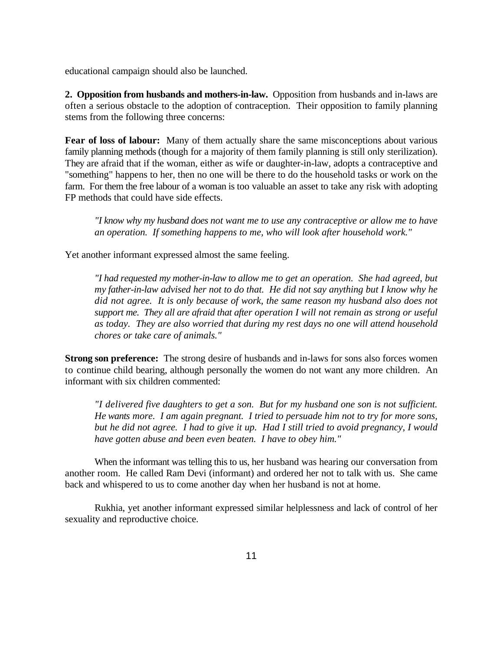educational campaign should also be launched.

**2. Opposition from husbands and mothers-in-law.** Opposition from husbands and in-laws are often a serious obstacle to the adoption of contraception. Their opposition to family planning stems from the following three concerns:

**Fear of loss of labour:** Many of them actually share the same misconceptions about various family planning methods (though for a majority of them family planning is still only sterilization). They are afraid that if the woman, either as wife or daughter-in-law, adopts a contraceptive and "something" happens to her, then no one will be there to do the household tasks or work on the farm. For them the free labour of a woman is too valuable an asset to take any risk with adopting FP methods that could have side effects.

*"I know why my husband does not want me to use any contraceptive or allow me to have an operation. If something happens to me, who will look after household work."*

Yet another informant expressed almost the same feeling.

*"I had requested my mother-in-law to allow me to get an operation. She had agreed, but my father-in-law advised her not to do that. He did not say anything but I know why he did not agree. It is only because of work, the same reason my husband also does not support me. They all are afraid that after operation I will not remain as strong or useful as today. They are also worried that during my rest days no one will attend household chores or take care of animals."*

**Strong son preference:** The strong desire of husbands and in-laws for sons also forces women to continue child bearing, although personally the women do not want any more children. An informant with six children commented:

*"I delivered five daughters to get a son. But for my husband one son is not sufficient. He wants more. I am again pregnant. I tried to persuade him not to try for more sons, but he did not agree. I had to give it up. Had I still tried to avoid pregnancy, I would have gotten abuse and been even beaten. I have to obey him."*

When the informant was telling this to us, her husband was hearing our conversation from another room. He called Ram Devi (informant) and ordered her not to talk with us. She came back and whispered to us to come another day when her husband is not at home.

Rukhia, yet another informant expressed similar helplessness and lack of control of her sexuality and reproductive choice.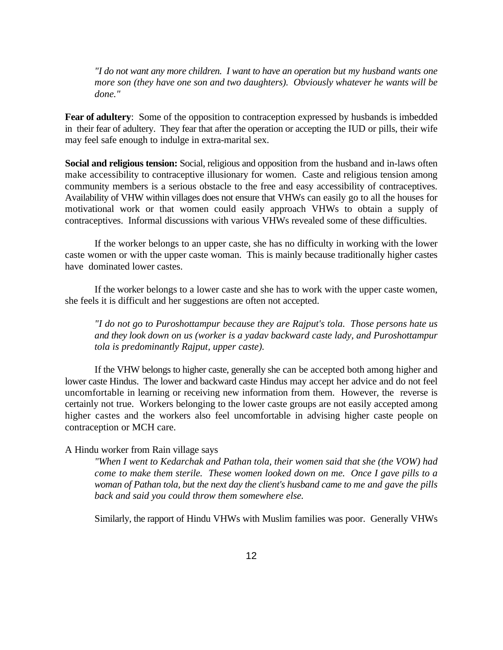*"I do not want any more children. I want to have an operation but my husband wants one more son (they have one son and two daughters). Obviously whatever he wants will be done."*

**Fear of adultery**: Some of the opposition to contraception expressed by husbands is imbedded in their fear of adultery. They fear that after the operation or accepting the IUD or pills, their wife may feel safe enough to indulge in extra-marital sex.

**Social and religious tension:** Social, religious and opposition from the husband and in-laws often make accessibility to contraceptive illusionary for women. Caste and religious tension among community members is a serious obstacle to the free and easy accessibility of contraceptives. Availability of VHW within villages does not ensure that VHWs can easily go to all the houses for motivational work or that women could easily approach VHWs to obtain a supply of contraceptives. Informal discussions with various VHWs revealed some of these difficulties.

If the worker belongs to an upper caste, she has no difficulty in working with the lower caste women or with the upper caste woman. This is mainly because traditionally higher castes have dominated lower castes.

If the worker belongs to a lower caste and she has to work with the upper caste women, she feels it is difficult and her suggestions are often not accepted.

*"I do not go to Puroshottampur because they are Rajput's tola. Those persons hate us and they look down on us (worker is a yadav backward caste lady, and Puroshottampur tola is predominantly Rajput, upper caste).*

If the VHW belongs to higher caste, generally she can be accepted both among higher and lower caste Hindus. The lower and backward caste Hindus may accept her advice and do not feel uncomfortable in learning or receiving new information from them. However, the reverse is certainly not true. Workers belonging to the lower caste groups are not easily accepted among higher castes and the workers also feel uncomfortable in advising higher caste people on contraception or MCH care.

#### A Hindu worker from Rain village says

*"When I went to Kedarchak and Pathan tola, their women said that she (the VOW) had come to make them sterile. These women looked down on me. Once I gave pills to a woman of Pathan tola, but the next day the client's husband came to me and gave the pills back and said you could throw them somewhere else.*

Similarly, the rapport of Hindu VHWs with Muslim families was poor. Generally VHWs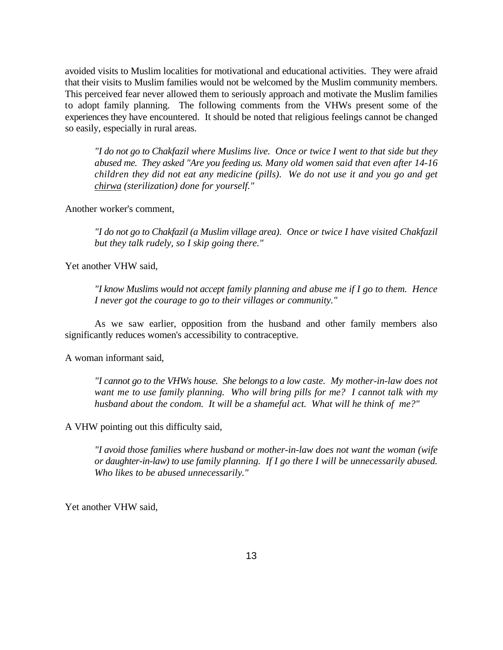avoided visits to Muslim localities for motivational and educational activities. They were afraid that their visits to Muslim families would not be welcomed by the Muslim community members. This perceived fear never allowed them to seriously approach and motivate the Muslim families to adopt family planning. The following comments from the VHWs present some of the experiences they have encountered. It should be noted that religious feelings cannot be changed so easily, especially in rural areas.

*"I do not go to Chakfazil where Muslims live. Once or twice I went to that side but they abused me. They asked "Are you feeding us. Many old women said that even after 14-16 children they did not eat any medicine (pills)*. *We do not use it and you go and get chirwa (sterilization) done for yourself."*

Another worker's comment,

*"I do not go to Chakfazil (a Muslim village area). Once or twice I have visited Chakfazil but they talk rudely, so I skip going there."*

Yet another VHW said,

*"I know Muslims would not accept family planning and abuse me if I go to them. Hence I never got the courage to go to their villages or community."*

As we saw earlier, opposition from the husband and other family members also significantly reduces women's accessibility to contraceptive.

A woman informant said,

*"I cannot go to the VHWs house. She belongs to a low caste. My mother-in-law does not want me to use family planning. Who will bring pills for me? I cannot talk with my husband about the condom. It will be a shameful act. What will he think of me?"*

A VHW pointing out this difficulty said,

*"I avoid those families where husband or mother-in-law does not want the woman (wife or daughter-in-law) to use family planning. If I go there I will be unnecessarily abused. Who likes to be abused unnecessarily."*

Yet another VHW said,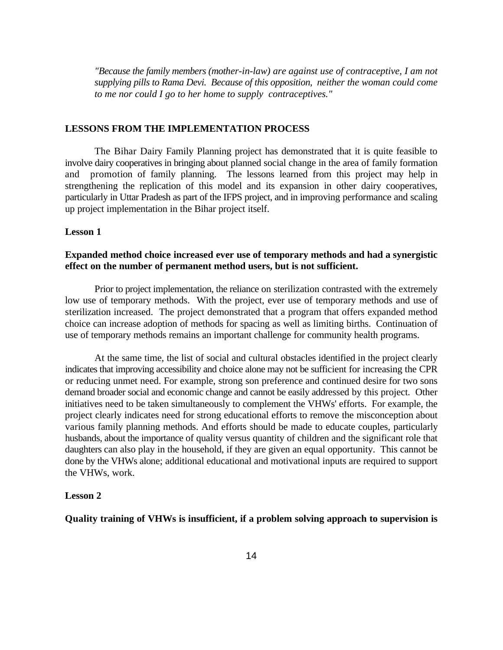*"Because the family members (mother-in-law) are against use of contraceptive, I am not supplying pills to Rama Devi. Because of this opposition, neither the woman could come to me nor could I go to her home to supply contraceptives."*

#### **LESSONS FROM THE IMPLEMENTATION PROCESS**

The Bihar Dairy Family Planning project has demonstrated that it is quite feasible to involve dairy cooperatives in bringing about planned social change in the area of family formation and promotion of family planning. The lessons learned from this project may help in strengthening the replication of this model and its expansion in other dairy cooperatives, particularly in Uttar Pradesh as part of the IFPS project, and in improving performance and scaling up project implementation in the Bihar project itself.

#### **Lesson 1**

## **Expanded method choice increased ever use of temporary methods and had a synergistic effect on the number of permanent method users, but is not sufficient.**

Prior to project implementation, the reliance on sterilization contrasted with the extremely low use of temporary methods. With the project, ever use of temporary methods and use of sterilization increased. The project demonstrated that a program that offers expanded method choice can increase adoption of methods for spacing as well as limiting births. Continuation of use of temporary methods remains an important challenge for community health programs.

At the same time, the list of social and cultural obstacles identified in the project clearly indicates that improving accessibility and choice alone may not be sufficient for increasing the CPR or reducing unmet need. For example, strong son preference and continued desire for two sons demand broader social and economic change and cannot be easily addressed by this project. Other initiatives need to be taken simultaneously to complement the VHWs' efforts. For example, the project clearly indicates need for strong educational efforts to remove the misconception about various family planning methods. And efforts should be made to educate couples, particularly husbands, about the importance of quality versus quantity of children and the significant role that daughters can also play in the household, if they are given an equal opportunity. This cannot be done by the VHWs alone; additional educational and motivational inputs are required to support the VHWs, work.

#### **Lesson 2**

**Quality training of VHWs is insufficient, if a problem solving approach to supervision is**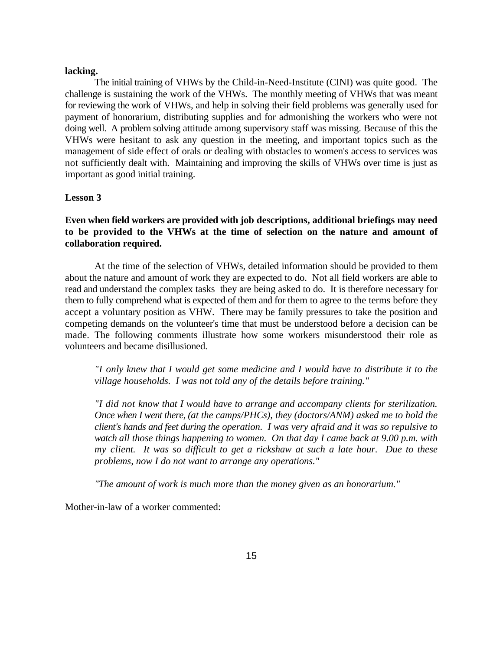#### **lacking.**

The initial training of VHWs by the Child-in-Need-Institute (CINI) was quite good. The challenge is sustaining the work of the VHWs. The monthly meeting of VHWs that was meant for reviewing the work of VHWs, and help in solving their field problems was generally used for payment of honorarium, distributing supplies and for admonishing the workers who were not doing well. A problem solving attitude among supervisory staff was missing. Because of this the VHWs were hesitant to ask any question in the meeting, and important topics such as the management of side effect of orals or dealing with obstacles to women's access to services was not sufficiently dealt with. Maintaining and improving the skills of VHWs over time is just as important as good initial training.

#### **Lesson 3**

## **Even when field workers are provided with job descriptions, additional briefings may need to be provided to the VHWs at the time of selection on the nature and amount of collaboration required.**

At the time of the selection of VHWs, detailed information should be provided to them about the nature and amount of work they are expected to do. Not all field workers are able to read and understand the complex tasks they are being asked to do. It is therefore necessary for them to fully comprehend what is expected of them and for them to agree to the terms before they accept a voluntary position as VHW. There may be family pressures to take the position and competing demands on the volunteer's time that must be understood before a decision can be made. The following comments illustrate how some workers misunderstood their role as volunteers and became disillusioned.

*"I only knew that I would get some medicine and I would have to distribute it to the village households. I was not told any of the details before training."*

*"I did not know that I would have to arrange and accompany clients for sterilization. Once when I went there, (at the camps/PHCs), they (doctors/ANM) asked me to hold the client's hands and feet during the operation. I was very afraid and it was so repulsive to watch all those things happening to women. On that day I came back at 9.00 p.m. with my client. It was so difficult to get a rickshaw at such a late hour. Due to these problems, now I do not want to arrange any operations."*

*"The amount of work is much more than the money given as an honorarium."*

Mother-in-law of a worker commented: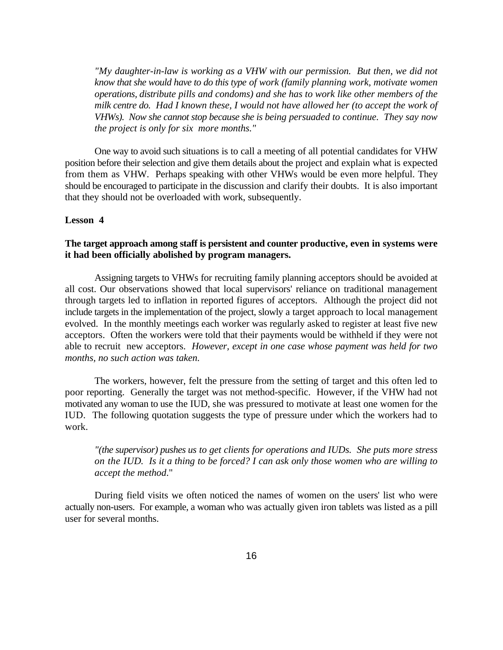*"My daughter-in-law is working as a VHW with our permission. But then, we did not know that she would have to do this type of work (family planning work, motivate women operations, distribute pills and condoms) and she has to work like other members of the milk centre do. Had I known these, I would not have allowed her (to accept the work of VHWs). Now she cannot stop because she is being persuaded to continue. They say now the project is only for six more months."*

One way to avoid such situations is to call a meeting of all potential candidates for VHW position before their selection and give them details about the project and explain what is expected from them as VHW. Perhaps speaking with other VHWs would be even more helpful. They should be encouraged to participate in the discussion and clarify their doubts. It is also important that they should not be overloaded with work, subsequently.

#### **Lesson 4**

## **The target approach among staff is persistent and counter productive, even in systems were it had been officially abolished by program managers.**

Assigning targets to VHWs for recruiting family planning acceptors should be avoided at all cost. Our observations showed that local supervisors' reliance on traditional management through targets led to inflation in reported figures of acceptors. Although the project did not include targets in the implementation of the project, slowly a target approach to local management evolved. In the monthly meetings each worker was regularly asked to register at least five new acceptors. Often the workers were told that their payments would be withheld if they were not able to recruit new acceptors. *However, except in one case whose payment was held for two months, no such action was taken.*

The workers, however, felt the pressure from the setting of target and this often led to poor reporting. Generally the target was not method-specific. However, if the VHW had not motivated any woman to use the IUD, she was pressured to motivate at least one women for the IUD. The following quotation suggests the type of pressure under which the workers had to work.

*"(the supervisor) pushes us to get clients for operations and IUDs. She puts more stress on the IUD. Is it a thing to be forced? I can ask only those women who are willing to accept the method*."

During field visits we often noticed the names of women on the users' list who were actually non-users. For example, a woman who was actually given iron tablets was listed as a pill user for several months.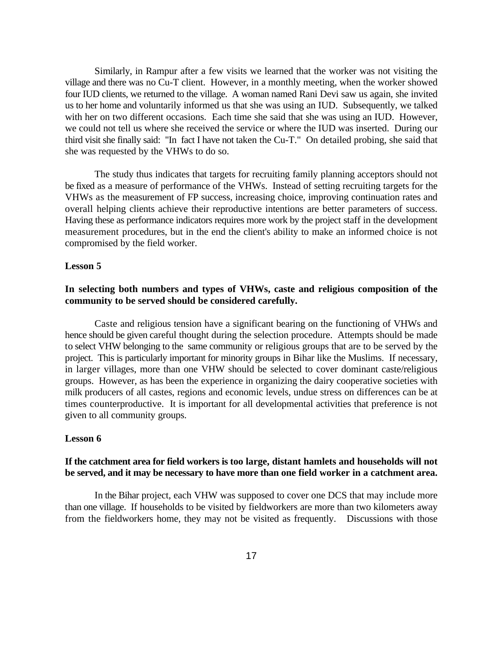Similarly, in Rampur after a few visits we learned that the worker was not visiting the village and there was no Cu-T client. However, in a monthly meeting, when the worker showed four IUD clients, we returned to the village. A woman named Rani Devi saw us again, she invited us to her home and voluntarily informed us that she was using an IUD. Subsequently, we talked with her on two different occasions. Each time she said that she was using an IUD. However, we could not tell us where she received the service or where the IUD was inserted. During our third visit she finally said: "In fact I have not taken the Cu-T." On detailed probing, she said that she was requested by the VHWs to do so.

The study thus indicates that targets for recruiting family planning acceptors should not be fixed as a measure of performance of the VHWs. Instead of setting recruiting targets for the VHWs as the measurement of FP success, increasing choice, improving continuation rates and overall helping clients achieve their reproductive intentions are better parameters of success. Having these as performance indicators requires more work by the project staff in the development measurement procedures, but in the end the client's ability to make an informed choice is not compromised by the field worker.

#### **Lesson 5**

## **In selecting both numbers and types of VHWs, caste and religious composition of the community to be served should be considered carefully.**

Caste and religious tension have a significant bearing on the functioning of VHWs and hence should be given careful thought during the selection procedure. Attempts should be made to select VHW belonging to the same community or religious groups that are to be served by the project. This is particularly important for minority groups in Bihar like the Muslims. If necessary, in larger villages, more than one VHW should be selected to cover dominant caste/religious groups. However, as has been the experience in organizing the dairy cooperative societies with milk producers of all castes, regions and economic levels, undue stress on differences can be at times counterproductive. It is important for all developmental activities that preference is not given to all community groups.

## **Lesson 6**

## **If the catchment area for field workers is too large, distant hamlets and households will not be served, and it may be necessary to have more than one field worker in a catchment area.**

In the Bihar project, each VHW was supposed to cover one DCS that may include more than one village. If households to be visited by fieldworkers are more than two kilometers away from the fieldworkers home, they may not be visited as frequently. Discussions with those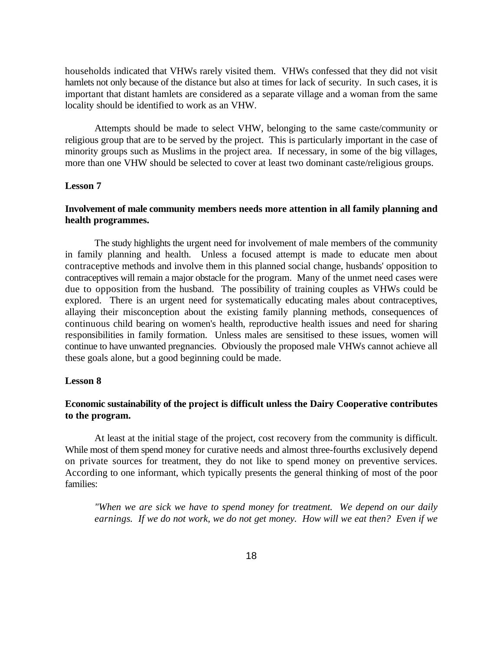households indicated that VHWs rarely visited them. VHWs confessed that they did not visit hamlets not only because of the distance but also at times for lack of security. In such cases, it is important that distant hamlets are considered as a separate village and a woman from the same locality should be identified to work as an VHW.

Attempts should be made to select VHW, belonging to the same caste/community or religious group that are to be served by the project. This is particularly important in the case of minority groups such as Muslims in the project area. If necessary, in some of the big villages, more than one VHW should be selected to cover at least two dominant caste/religious groups.

## **Lesson 7**

## **Involvement of male community members needs more attention in all family planning and health programmes.**

The study highlights the urgent need for involvement of male members of the community in family planning and health. Unless a focused attempt is made to educate men about contraceptive methods and involve them in this planned social change, husbands' opposition to contraceptives will remain a major obstacle for the program. Many of the unmet need cases were due to opposition from the husband. The possibility of training couples as VHWs could be explored. There is an urgent need for systematically educating males about contraceptives, allaying their misconception about the existing family planning methods, consequences of continuous child bearing on women's health, reproductive health issues and need for sharing responsibilities in family formation. Unless males are sensitised to these issues, women will continue to have unwanted pregnancies. Obviously the proposed male VHWs cannot achieve all these goals alone, but a good beginning could be made.

#### **Lesson 8**

## **Economic sustainability of the project is difficult unless the Dairy Cooperative contributes to the program.**

At least at the initial stage of the project, cost recovery from the community is difficult. While most of them spend money for curative needs and almost three-fourths exclusively depend on private sources for treatment, they do not like to spend money on preventive services. According to one informant, which typically presents the general thinking of most of the poor families:

*"When we are sick we have to spend money for treatment. We depend on our daily earnings. If we do not work, we do not get money. How will we eat then? Even if we*